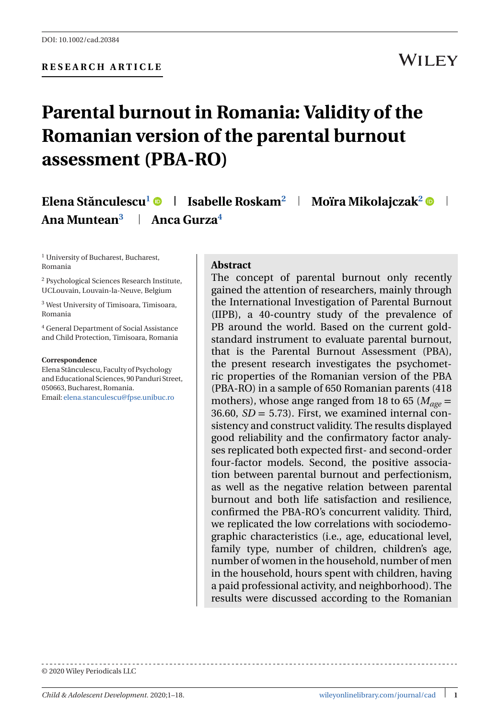# **Parental burnout in Romania: Validity of the Romanian version of the parental burnout assessment (PBA-RO)**

**Elena Stănculescu<sup>1</sup>**  $\bullet$  **| Isabelle Roskam<sup>2</sup> | Moïra Mikolajczak<sup>2</sup>**  $\bullet$  **| Ana Muntean<sup>3</sup> | Anca Gurza**<sup>4</sup>

<sup>1</sup> University of Bucharest, Bucharest, Romania

<sup>2</sup> Psychological Sciences Research Institute, UCLouvain, Louvain-la-Neuve, Belgium

<sup>3</sup> West University of Timisoara, Timisoara, Romania

<sup>4</sup> General Department of Social Assistance and Child Protection, Timisoara, Romania

#### **Correspondence**

Elena Stănculescu, Faculty of Psychology and Educational Sciences, 90 Panduri Street, 050663, Bucharest, Romania. Email: [elena.stanculescu@fpse.unibuc.ro](mailto:elena.stanculescu@fpse.unibuc.ro)

#### **Abstract**

The concept of parental burnout only recently gained the attention of researchers, mainly through the International Investigation of Parental Burnout (IIPB), a 40-country study of the prevalence of PB around the world. Based on the current goldstandard instrument to evaluate parental burnout, that is the Parental Burnout Assessment (PBA), the present research investigates the psychometric properties of the Romanian version of the PBA (PBA-RO) in a sample of 650 Romanian parents (418 mothers), whose ange ranged from 18 to 65 ( $M_{\text{age}} =$ 36.60,  $SD = 5.73$ ). First, we examined internal consistency and construct validity. The results displayed good reliability and the confirmatory factor analyses replicated both expected first- and second-order four-factor models. Second, the positive association between parental burnout and perfectionism, as well as the negative relation between parental burnout and both life satisfaction and resilience, confirmed the PBA-RO's concurrent validity. Third, we replicated the low correlations with sociodemographic characteristics (i.e., age, educational level, family type, number of children, children's age, number of women in the household, number of men in the household, hours spent with children, having a paid professional activity, and neighborhood). The results were discussed according to the Romanian

© 2020 Wiley Periodicals LLC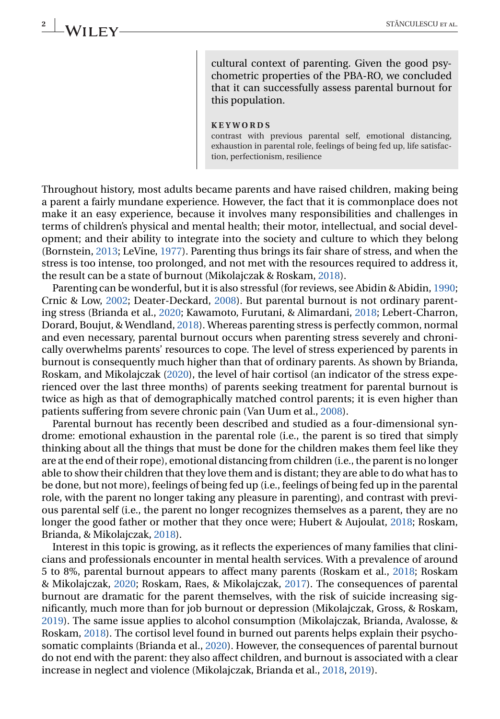cultural context of parenting. Given the good psychometric properties of the PBA-RO, we concluded that it can successfully assess parental burnout for this population.

#### **KEYWORDS**

contrast with previous parental self, emotional distancing, exhaustion in parental role, feelings of being fed up, life satisfaction, perfectionism, resilience

Throughout history, most adults became parents and have raised children, making being a parent a fairly mundane experience. However, the fact that it is commonplace does not make it an easy experience, because it involves many responsibilities and challenges in terms of children's physical and mental health; their motor, intellectual, and social development; and their ability to integrate into the society and culture to which they belong (Bornstein, [2013;](#page-14-0) LeVine, [1977\)](#page-16-0). Parenting thus brings its fair share of stress, and when the stress is too intense, too prolonged, and not met with the resources required to address it, the result can be a state of burnout (Mikolajczak & Roskam, [2018\)](#page-16-0).

Parenting can be wonderful, but it is also stressful (for reviews, see Abidin & Abidin, [1990;](#page-14-0) Crnic & Low, [2002;](#page-15-0) Deater-Deckard, [2008\)](#page-15-0). But parental burnout is not ordinary parenting stress (Brianda et al., [2020;](#page-15-0) Kawamoto, Furutani, & Alimardani, [2018;](#page-15-0) Lebert-Charron, Dorard, Boujut, & Wendland, [2018\)](#page-16-0). Whereas parenting stress is perfectly common, normal and even necessary, parental burnout occurs when parenting stress severely and chronically overwhelms parents' resources to cope. The level of stress experienced by parents in burnout is consequently much higher than that of ordinary parents. As shown by Brianda, Roskam, and Mikolajczak [\(2020\)](#page-15-0), the level of hair cortisol (an indicator of the stress experienced over the last three months) of parents seeking treatment for parental burnout is twice as high as that of demographically matched control parents; it is even higher than patients suffering from severe chronic pain (Van Uum et al., [2008\)](#page-17-0).

Parental burnout has recently been described and studied as a four-dimensional syndrome: emotional exhaustion in the parental role (i.e., the parent is so tired that simply thinking about all the things that must be done for the children makes them feel like they are at the end of their rope), emotional distancing from children (i.e., the parent is no longer able to show their children that they love them and is distant; they are able to do what has to be done, but not more), feelings of being fed up (i.e., feelings of being fed up in the parental role, with the parent no longer taking any pleasure in parenting), and contrast with previous parental self (i.e., the parent no longer recognizes themselves as a parent, they are no longer the good father or mother that they once were; Hubert & Aujoulat, [2018;](#page-15-0) Roskam, Brianda, & Mikolajczak, [2018\)](#page-16-0).

Interest in this topic is growing, as it reflects the experiences of many families that clinicians and professionals encounter in mental health services. With a prevalence of around 5 to 8%, parental burnout appears to affect many parents (Roskam et al., [2018;](#page-16-0) Roskam & Mikolajczak, [2020;](#page-17-0) Roskam, Raes, & Mikolajczak, [2017\)](#page-17-0). The consequences of parental burnout are dramatic for the parent themselves, with the risk of suicide increasing significantly, much more than for job burnout or depression (Mikolajczak, Gross, & Roskam, [2019\)](#page-16-0). The same issue applies to alcohol consumption (Mikolajczak, Brianda, Avalosse, & Roskam, [2018\)](#page-16-0). The cortisol level found in burned out parents helps explain their psychosomatic complaints (Brianda et al., [2020\)](#page-15-0). However, the consequences of parental burnout do not end with the parent: they also affect children, and burnout is associated with a clear increase in neglect and violence (Mikolajczak, Brianda et al., [2018,](#page-16-0) [2019\)](#page-16-0).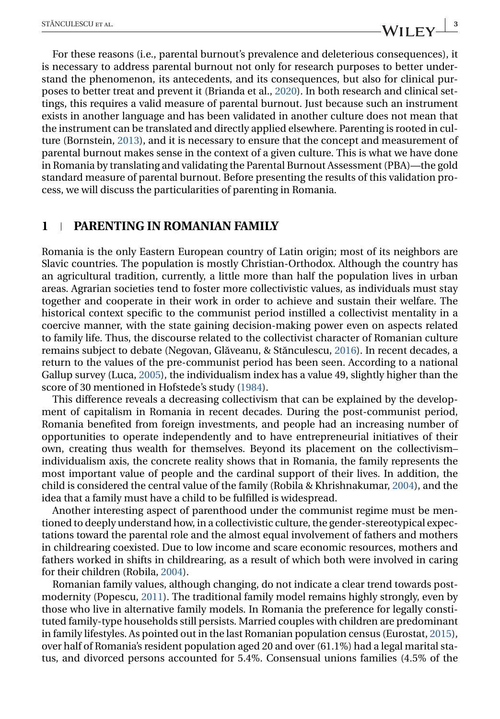For these reasons (i.e., parental burnout's prevalence and deleterious consequences), it is necessary to address parental burnout not only for research purposes to better understand the phenomenon, its antecedents, and its consequences, but also for clinical purposes to better treat and prevent it (Brianda et al., [2020\)](#page-15-0). In both research and clinical settings, this requires a valid measure of parental burnout. Just because such an instrument exists in another language and has been validated in another culture does not mean that the instrument can be translated and directly applied elsewhere. Parenting is rooted in culture (Bornstein, [2013\)](#page-14-0), and it is necessary to ensure that the concept and measurement of parental burnout makes sense in the context of a given culture. This is what we have done in Romania by translating and validating the Parental Burnout Assessment (PBA)—the gold standard measure of parental burnout. Before presenting the results of this validation process, we will discuss the particularities of parenting in Romania.

#### **1 PARENTING IN ROMANIAN FAMILY**

Romania is the only Eastern European country of Latin origin; most of its neighbors are Slavic countries. The population is mostly Christian-Orthodox. Although the country has an agricultural tradition, currently, a little more than half the population lives in urban areas. Agrarian societies tend to foster more collectivistic values, as individuals must stay together and cooperate in their work in order to achieve and sustain their welfare. The historical context specific to the communist period instilled a collectivist mentality in a coercive manner, with the state gaining decision-making power even on aspects related to family life. Thus, the discourse related to the collectivist character of Romanian culture remains subject to debate (Negovan, Glăveanu, & Stănculescu, [2016\)](#page-16-0). In recent decades, a return to the values of the pre-communist period has been seen. According to a national Gallup survey (Luca, [2005\)](#page-16-0), the individualism index has a value 49, slightly higher than the score of 30 mentioned in Hofstede's study [\(1984\)](#page-15-0).

This difference reveals a decreasing collectivism that can be explained by the development of capitalism in Romania in recent decades. During the post-communist period, Romania benefited from foreign investments, and people had an increasing number of opportunities to operate independently and to have entrepreneurial initiatives of their own, creating thus wealth for themselves. Beyond its placement on the collectivism– individualism axis, the concrete reality shows that in Romania, the family represents the most important value of people and the cardinal support of their lives. In addition, the child is considered the central value of the family (Robila & Khrishnakumar, [2004\)](#page-16-0), and the idea that a family must have a child to be fulfilled is widespread.

Another interesting aspect of parenthood under the communist regime must be mentioned to deeply understand how, in a collectivistic culture, the gender-stereotypical expectations toward the parental role and the almost equal involvement of fathers and mothers in childrearing coexisted. Due to low income and scare economic resources, mothers and fathers worked in shifts in childrearing, as a result of which both were involved in caring for their children (Robila, [2004\)](#page-16-0).

Romanian family values, although changing, do not indicate a clear trend towards postmodernity (Popescu, [2011\)](#page-16-0). The traditional family model remains highly strongly, even by those who live in alternative family models. In Romania the preference for legally constituted family-type households still persists. Married couples with children are predominant in family lifestyles. As pointed out in the last Romanian population census (Eurostat, [2015\)](#page-15-0), over half of Romania's resident population aged 20 and over (61.1%) had a legal marital status, and divorced persons accounted for 5.4%. Consensual unions families (4.5% of the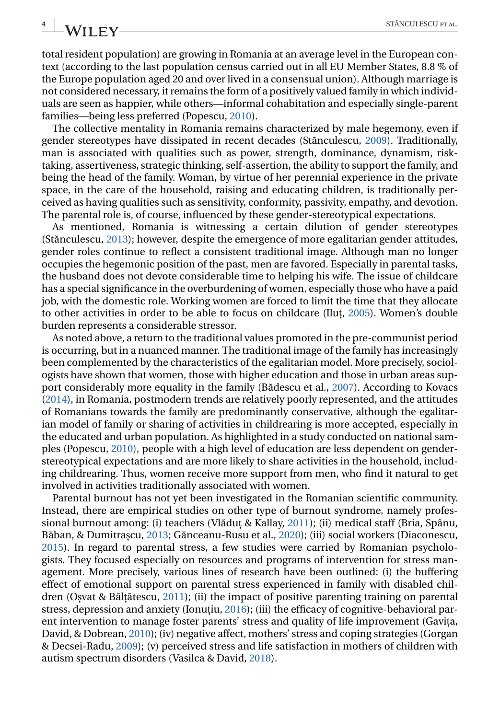total resident population) are growing in Romania at an average level in the European context (according to the last population census carried out in all EU Member States, 8.8 % of the Europe population aged 20 and over lived in a consensual union). Although marriage is not considered necessary, it remains the form of a positively valued family in which individuals are seen as happier, while others—informal cohabitation and especially single-parent families—being less preferred (Popescu, [2010\)](#page-16-0).

The collective mentality in Romania remains characterized by male hegemony, even if gender stereotypes have dissipated in recent decades (Stănculescu, [2009\)](#page-17-0). Traditionally, man is associated with qualities such as power, strength, dominance, dynamism, risktaking, assertiveness, strategic thinking, self-assertion, the ability to support the family, and being the head of the family. Woman, by virtue of her perennial experience in the private space, in the care of the household, raising and educating children, is traditionally perceived as having qualities such as sensitivity, conformity, passivity, empathy, and devotion. The parental role is, of course, influenced by these gender-stereotypical expectations.

As mentioned, Romania is witnessing a certain dilution of gender stereotypes (Stănculescu, [2013\)](#page-17-0); however, despite the emergence of more egalitarian gender attitudes, gender roles continue to reflect a consistent traditional image. Although man no longer occupies the hegemonic position of the past, men are favored. Especially in parental tasks, the husband does not devote considerable time to helping his wife. The issue of childcare has a special significance in the overburdening of women, especially those who have a paid job, with the domestic role. Working women are forced to limit the time that they allocate to other activities in order to be able to focus on childcare (Iluț, [2005\)](#page-15-0). Women's double burden represents a considerable stressor.

As noted above, a return to the traditional values promoted in the pre-communist period is occurring, but in a nuanced manner. The traditional image of the family has increasingly been complemented by the characteristics of the egalitarian model. More precisely, sociologists have shown that women, those with higher education and those in urban areas sup-port considerably more equality in the family (Bădescu et al., [2007\)](#page-14-0). According to Kovacs [\(2014\)](#page-16-0), in Romania, postmodern trends are relatively poorly represented, and the attitudes of Romanians towards the family are predominantly conservative, although the egalitarian model of family or sharing of activities in childrearing is more accepted, especially in the educated and urban population. As highlighted in a study conducted on national samples (Popescu, [2010\)](#page-16-0), people with a high level of education are less dependent on genderstereotypical expectations and are more likely to share activities in the household, including childrearing. Thus, women receive more support from men, who find it natural to get involved in activities traditionally associated with women.

Parental burnout has not yet been investigated in the Romanian scientific community. Instead, there are empirical studies on other type of burnout syndrome, namely profes-sional burnout among: (i) teachers (Vlădut & Kallay, [2011\)](#page-17-0); (ii) medical staff (Bria, Spânu, Băban, & Dumitrașcu, [2013;](#page-15-0) Gănceanu-Rusu et al., [2020\)](#page-15-0); (iii) social workers (Diaconescu, [2015\)](#page-15-0). In regard to parental stress, a few studies were carried by Romanian psychologists. They focused especially on resources and programs of intervention for stress management. More precisely, various lines of research have been outlined: (i) the buffering effect of emotional support on parental stress experienced in family with disabled children (Oșvat & Bălțătescu,  $2011$ ); (ii) the impact of positive parenting training on parental stress, depression and anxiety (Ionuțiu, [2016\)](#page-15-0); (iii) the efficacy of cognitive-behavioral parent intervention to manage foster parents' stress and quality of life improvement (Gavița, David, & Dobrean, [2010\)](#page-15-0); (iv) negative affect, mothers' stress and coping strategies (Gorgan & Decsei-Radu, [2009\)](#page-15-0); (v) perceived stress and life satisfaction in mothers of children with autism spectrum disorders (Vasilca & David, [2018\)](#page-17-0).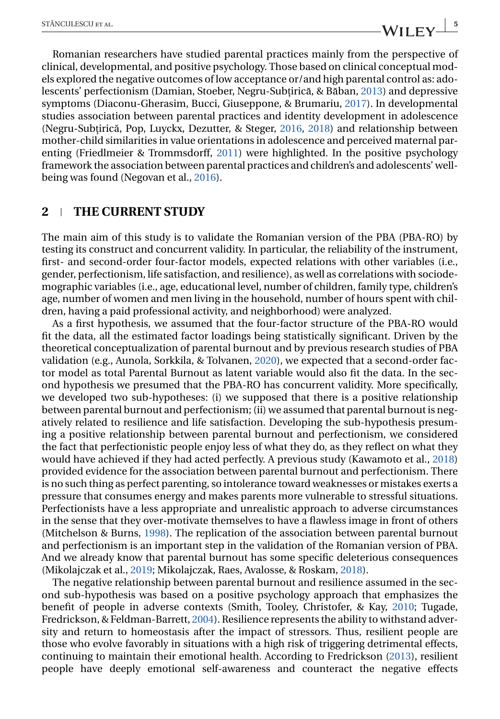Romanian researchers have studied parental practices mainly from the perspective of clinical, developmental, and positive psychology. Those based on clinical conceptual models explored the negative outcomes of low acceptance or/and high parental control as: ado-lescents' perfectionism (Damian, Stoeber, Negru-Subțirică, & Băban, [2013\)](#page-15-0) and depressive symptoms (Diaconu-Gherasim, Bucci, Giuseppone, & Brumariu, [2017\)](#page-15-0). In developmental studies association between parental practices and identity development in adolescence (Negru-Subțirică, Pop, Luyckx, Dezutter, & Steger, [2016,](#page-16-0) [2018\)](#page-16-0) and relationship between mother-child similarities in value orientations in adolescence and perceived maternal parenting (Friedlmeier & Trommsdorff, [2011\)](#page-15-0) were highlighted. In the positive psychology framework the association between parental practices and children's and adolescents' wellbeing was found (Negovan et al., [2016\)](#page-16-0).

#### **2 THE CURRENT STUDY**

The main aim of this study is to validate the Romanian version of the PBA (PBA-RO) by testing its construct and concurrent validity. In particular, the reliability of the instrument, first- and second-order four-factor models, expected relations with other variables (i.e., gender, perfectionism, life satisfaction, and resilience), as well as correlations with sociodemographic variables (i.e., age, educational level, number of children, family type, children's age, number of women and men living in the household, number of hours spent with children, having a paid professional activity, and neighborhood) were analyzed.

As a first hypothesis, we assumed that the four-factor structure of the PBA-RO would fit the data, all the estimated factor loadings being statistically significant. Driven by the theoretical conceptualization of parental burnout and by previous research studies of PBA validation (e.g., Aunola, Sorkkila, & Tolvanen, [2020\)](#page-14-0), we expected that a second-order factor model as total Parental Burnout as latent variable would also fit the data. In the second hypothesis we presumed that the PBA-RO has concurrent validity. More specifically, we developed two sub-hypotheses: (i) we supposed that there is a positive relationship between parental burnout and perfectionism; (ii) we assumed that parental burnout is negatively related to resilience and life satisfaction. Developing the sub-hypothesis presuming a positive relationship between parental burnout and perfectionism, we considered the fact that perfectionistic people enjoy less of what they do, as they reflect on what they would have achieved if they had acted perfectly. A previous study (Kawamoto et al., [2018\)](#page-15-0) provided evidence for the association between parental burnout and perfectionism. There is no such thing as perfect parenting, so intolerance toward weaknesses or mistakes exerts a pressure that consumes energy and makes parents more vulnerable to stressful situations. Perfectionists have a less appropriate and unrealistic approach to adverse circumstances in the sense that they over-motivate themselves to have a flawless image in front of others (Mitchelson & Burns, [1998\)](#page-16-0). The replication of the association between parental burnout and perfectionism is an important step in the validation of the Romanian version of PBA. And we already know that parental burnout has some specific deleterious consequences (Mikolajczak et al., [2019;](#page-16-0) Mikolajczak, Raes, Avalosse, & Roskam, [2018\)](#page-16-0).

The negative relationship between parental burnout and resilience assumed in the second sub-hypothesis was based on a positive psychology approach that emphasizes the benefit of people in adverse contexts (Smith, Tooley, Christofer, & Kay, [2010;](#page-17-0) Tugade, Fredrickson, & Feldman-Barrett, [2004\)](#page-17-0). Resilience represents the ability to withstand adversity and return to homeostasis after the impact of stressors. Thus, resilient people are those who evolve favorably in situations with a high risk of triggering detrimental effects, continuing to maintain their emotional health. According to Fredrickson [\(2013\)](#page-15-0), resilient people have deeply emotional self-awareness and counteract the negative effects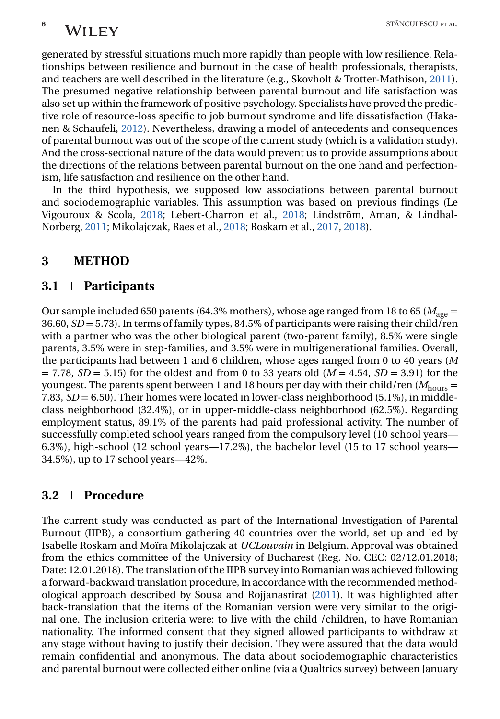generated by stressful situations much more rapidly than people with low resilience. Relationships between resilience and burnout in the case of health professionals, therapists, and teachers are well described in the literature (e.g., Skovholt & Trotter-Mathison, [2011\)](#page-17-0). The presumed negative relationship between parental burnout and life satisfaction was also set up within the framework of positive psychology. Specialists have proved the predictive role of resource-loss specific to job burnout syndrome and life dissatisfaction (Hakanen & Schaufeli, [2012\)](#page-15-0). Nevertheless, drawing a model of antecedents and consequences of parental burnout was out of the scope of the current study (which is a validation study). And the cross-sectional nature of the data would prevent us to provide assumptions about the directions of the relations between parental burnout on the one hand and perfectionism, life satisfaction and resilience on the other hand.

In the third hypothesis, we supposed low associations between parental burnout and sociodemographic variables. This assumption was based on previous findings (Le Vigouroux & Scola, [2018;](#page-16-0) Lebert-Charron et al., [2018;](#page-16-0) Lindström, Aman, & Lindhal-Norberg, [2011;](#page-16-0) Mikolajczak, Raes et al., [2018;](#page-16-0) Roskam et al., [2017,](#page-17-0) [2018\)](#page-16-0).

#### **3 METHOD**

#### **3.1 Participants**

Our sample included 650 parents (64.3% mothers), whose age ranged from 18 to 65 ( $M_{\text{age}} =$ 36.60, *SD* = 5.73). In terms of family types, 84.5% of participants were raising their child/ren with a partner who was the other biological parent (two-parent family), 8.5% were single parents, 3.5% were in step-families, and 3.5% were in multigenerational families. Overall, the participants had between 1 and 6 children, whose ages ranged from 0 to 40 years (*M*  $= 7.78, SD = 5.15$  for the oldest and from 0 to 33 years old ( $M = 4.54$ ,  $SD = 3.91$ ) for the youngest. The parents spent between 1 and 18 hours per day with their child/ren ( $M_{\text{hours}} =$ 7.83, *SD* = 6.50). Their homes were located in lower-class neighborhood (5.1%), in middleclass neighborhood (32.4%), or in upper-middle-class neighborhood (62.5%). Regarding employment status, 89.1% of the parents had paid professional activity. The number of successfully completed school years ranged from the compulsory level (10 school years— 6.3%), high-school (12 school years—17.2%), the bachelor level (15 to 17 school years— 34.5%), up to 17 school years—42%.

#### **3.2 Procedure**

The current study was conducted as part of the International Investigation of Parental Burnout (IIPB), a consortium gathering 40 countries over the world, set up and led by Isabelle Roskam and Moïra Mikolajczak at *UCLouvain* in Belgium. Approval was obtained from the ethics committee of the University of Bucharest (Reg. No. CEC: 02/12.01.2018; Date: 12.01.2018). The translation of the IIPB survey into Romanian was achieved following a forward-backward translation procedure, in accordance with the recommended methodological approach described by Sousa and Rojjanasrirat [\(2011\)](#page-17-0). It was highlighted after back-translation that the items of the Romanian version were very similar to the original one. The inclusion criteria were: to live with the child /children, to have Romanian nationality. The informed consent that they signed allowed participants to withdraw at any stage without having to justify their decision. They were assured that the data would remain confidential and anonymous. The data about sociodemographic characteristics and parental burnout were collected either online (via a Qualtrics survey) between January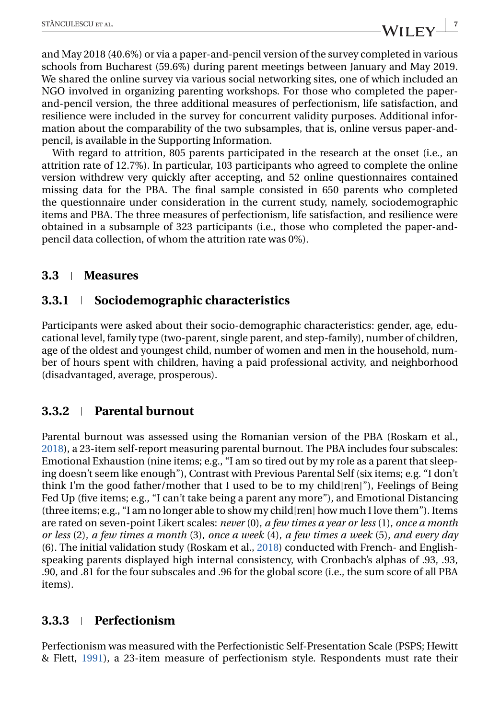and May 2018 (40.6%) or via a paper-and-pencil version of the survey completed in various schools from Bucharest (59.6%) during parent meetings between January and May 2019. We shared the online survey via various social networking sites, one of which included an NGO involved in organizing parenting workshops. For those who completed the paperand-pencil version, the three additional measures of perfectionism, life satisfaction, and resilience were included in the survey for concurrent validity purposes. Additional information about the comparability of the two subsamples, that is, online versus paper-andpencil, is available in the Supporting Information.

With regard to attrition, 805 parents participated in the research at the onset (i.e., an attrition rate of 12.7%). In particular, 103 participants who agreed to complete the online version withdrew very quickly after accepting, and 52 online questionnaires contained missing data for the PBA. The final sample consisted in 650 parents who completed the questionnaire under consideration in the current study, namely, sociodemographic items and PBA. The three measures of perfectionism, life satisfaction, and resilience were obtained in a subsample of 323 participants (i.e., those who completed the paper-andpencil data collection, of whom the attrition rate was 0%).

#### **3.3 Measures**

### **3.3.1 Sociodemographic characteristics**

Participants were asked about their socio-demographic characteristics: gender, age, educational level, family type (two-parent, single parent, and step-family), number of children, age of the oldest and youngest child, number of women and men in the household, number of hours spent with children, having a paid professional activity, and neighborhood (disadvantaged, average, prosperous).

## **3.3.2 Parental burnout**

Parental burnout was assessed using the Romanian version of the PBA (Roskam et al., [2018\)](#page-16-0), a 23-item self-report measuring parental burnout. The PBA includes four subscales: Emotional Exhaustion (nine items; e.g., "I am so tired out by my role as a parent that sleeping doesn't seem like enough"), Contrast with Previous Parental Self (six items; e.g. "I don't think I'm the good father/mother that I used to be to my child[ren]"), Feelings of Being Fed Up (five items; e.g., "I can't take being a parent any more"), and Emotional Distancing (three items; e.g., "I am no longer able to show my child[ren] how much I love them"). Items are rated on seven-point Likert scales: *never* (0), *a few times a year or less* (1), *once a month or less* (2), *a few times a month* (3), *once a week* (4), *a few times a week* (5), *and every day* (6). The initial validation study (Roskam et al., [2018\)](#page-16-0) conducted with French- and Englishspeaking parents displayed high internal consistency, with Cronbach's alphas of .93, .93, .90, and .81 for the four subscales and .96 for the global score (i.e., the sum score of all PBA items).

### **3.3.3 Perfectionism**

Perfectionism was measured with the Perfectionistic Self-Presentation Scale (PSPS; Hewitt & Flett, [1991\)](#page-15-0), a 23-item measure of perfectionism style. Respondents must rate their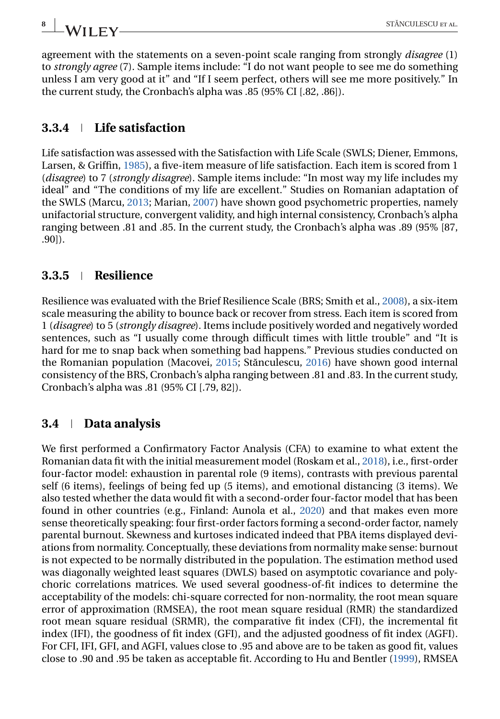agreement with the statements on a seven-point scale ranging from strongly *disagree* (1) to *strongly agree* (7). Sample items include: "I do not want people to see me do something unless I am very good at it" and "If I seem perfect, others will see me more positively." In the current study, the Cronbach's alpha was .85 (95% CI [.82, .86]).

#### **3.3.4 Life satisfaction**

Life satisfaction was assessed with the Satisfaction with Life Scale (SWLS; Diener, Emmons, Larsen, & Griffin, [1985\)](#page-15-0), a five-item measure of life satisfaction. Each item is scored from 1 (*disagree*) to 7 (*strongly disagree*). Sample items include: "In most way my life includes my ideal" and "The conditions of my life are excellent." Studies on Romanian adaptation of the SWLS (Marcu, [2013;](#page-16-0) Marian, [2007\)](#page-16-0) have shown good psychometric properties, namely unifactorial structure, convergent validity, and high internal consistency, Cronbach's alpha ranging between .81 and .85. In the current study, the Cronbach's alpha was .89 (95% [87, .90]).

#### **3.3.5 Resilience**

Resilience was evaluated with the Brief Resilience Scale (BRS; Smith et al., [2008\)](#page-17-0), a six-item scale measuring the ability to bounce back or recover from stress. Each item is scored from 1 (*disagree*) to 5 (*strongly disagree*). Items include positively worded and negatively worded sentences, such as "I usually come through difficult times with little trouble" and "It is hard for me to snap back when something bad happens." Previous studies conducted on the Romanian population (Macovei, [2015;](#page-16-0) Stănculescu, [2016\)](#page-17-0) have shown good internal consistency of the BRS, Cronbach's alpha ranging between .81 and .83. In the current study, Cronbach's alpha was .81 (95% CI [.79, 82]).

#### **3.4 Data analysis**

We first performed a Confirmatory Factor Analysis (CFA) to examine to what extent the Romanian data fit with the initial measurement model (Roskam et al., [2018\)](#page-16-0), i.e., first-order four-factor model: exhaustion in parental role (9 items), contrasts with previous parental self (6 items), feelings of being fed up (5 items), and emotional distancing (3 items). We also tested whether the data would fit with a second-order four-factor model that has been found in other countries (e.g., Finland: Aunola et al., [2020\)](#page-14-0) and that makes even more sense theoretically speaking: four first-order factors forming a second-order factor, namely parental burnout. Skewness and kurtoses indicated indeed that PBA items displayed deviations from normality. Conceptually, these deviations from normality make sense: burnout is not expected to be normally distributed in the population. The estimation method used was diagonally weighted least squares (DWLS) based on asymptotic covariance and polychoric correlations matrices. We used several goodness-of-fit indices to determine the acceptability of the models: chi-square corrected for non-normality, the root mean square error of approximation (RMSEA), the root mean square residual (RMR) the standardized root mean square residual (SRMR), the comparative fit index (CFI), the incremental fit index (IFI), the goodness of fit index (GFI), and the adjusted goodness of fit index (AGFI). For CFI, IFI, GFI, and AGFI, values close to .95 and above are to be taken as good fit, values close to .90 and .95 be taken as acceptable fit. According to Hu and Bentler [\(1999\)](#page-15-0), RMSEA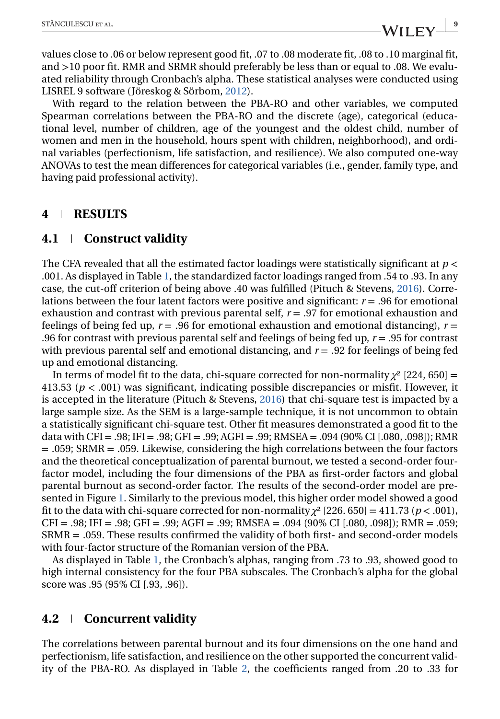values close to .06 or below represent good fit, .07 to .08 moderate fit, .08 to .10 marginal fit, and >10 poor fit. RMR and SRMR should preferably be less than or equal to .08. We evaluated reliability through Cronbach's alpha. These statistical analyses were conducted using LISREL 9 software (Jöreskog & Sörbom, [2012\)](#page-15-0).

With regard to the relation between the PBA-RO and other variables, we computed Spearman correlations between the PBA-RO and the discrete (age), categorical (educational level, number of children, age of the youngest and the oldest child, number of women and men in the household, hours spent with children, neighborhood), and ordinal variables (perfectionism, life satisfaction, and resilience). We also computed one-way ANOVAs to test the mean differences for categorical variables (i.e., gender, family type, and having paid professional activity).

#### **4 RESULTS**

#### **4.1 Construct validity**

The CFA revealed that all the estimated factor loadings were statistically significant at *p* < .001. As displayed in Table [1,](#page-9-0) the standardized factor loadings ranged from .54 to .93. In any case, the cut-off criterion of being above .40 was fulfilled (Pituch & Stevens, [2016\)](#page-16-0). Correlations between the four latent factors were positive and significant:  $r = .96$  for emotional exhaustion and contrast with previous parental self, *r* = .97 for emotional exhaustion and feelings of being fed up, *r* = .96 for emotional exhaustion and emotional distancing), *r* = .96 for contrast with previous parental self and feelings of being fed up, *r* = .95 for contrast with previous parental self and emotional distancing, and *r* = .92 for feelings of being fed up and emotional distancing.

In terms of model fit to the data, chi-square corrected for non-normality  $\chi^2$  [224, 650] = 413.53 ( $p < .001$ ) was significant, indicating possible discrepancies or misfit. However, it is accepted in the literature (Pituch & Stevens, [2016\)](#page-16-0) that chi-square test is impacted by a large sample size. As the SEM is a large-sample technique, it is not uncommon to obtain a statistically significant chi-square test. Other fit measures demonstrated a good fit to the data with CFI = .98; IFI = .98; GFI = .99; AGFI = .99; RMSEA = .094 (90% CI [.080, .098]); RMR = .059; SRMR = .059. Likewise, considering the high correlations between the four factors and the theoretical conceptualization of parental burnout, we tested a second-order fourfactor model, including the four dimensions of the PBA as first-order factors and global parental burnout as second-order factor. The results of the second-order model are presented in Figure [1.](#page-10-0) Similarly to the previous model, this higher order model showed a good fit to the data with chi-square corrected for non-normality  $\chi^2$  [226. 650] = 411.73 ( $p < .001$ ),  $CFI = .98$ ; IFI = .98; GFI = .99; AGFI = .99; RMSEA = .094 (90% CI [.080, .098]); RMR = .059; SRMR = .059. These results confirmed the validity of both first- and second-order models with four-factor structure of the Romanian version of the PBA.

As displayed in Table [1,](#page-9-0) the Cronbach's alphas, ranging from .73 to .93, showed good to high internal consistency for the four PBA subscales. The Cronbach's alpha for the global score was .95 (95% CI [.93, .96]).

#### **4.2 Concurrent validity**

The correlations between parental burnout and its four dimensions on the one hand and perfectionism, life satisfaction, and resilience on the other supported the concurrent validity of the PBA-RO. As displayed in Table [2,](#page-10-0) the coefficients ranged from .20 to .33 for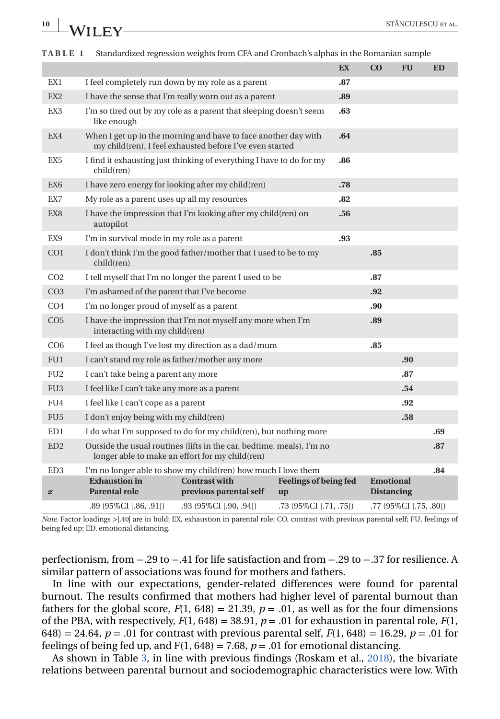|                 |                                                    |                                                                                                                            |                                    | <b>EX</b> |                                       |                        |           |
|-----------------|----------------------------------------------------|----------------------------------------------------------------------------------------------------------------------------|------------------------------------|-----------|---------------------------------------|------------------------|-----------|
|                 |                                                    |                                                                                                                            |                                    |           | CO                                    | <b>FU</b>              | <b>ED</b> |
| EX1             | I feel completely run down by my role as a parent  |                                                                                                                            |                                    | .87       |                                       |                        |           |
| EX <sub>2</sub> |                                                    | I have the sense that I'm really worn out as a parent                                                                      |                                    | .89       |                                       |                        |           |
| EX3             | like enough                                        | I'm so tired out by my role as a parent that sleeping doesn't seem                                                         |                                    | .63       |                                       |                        |           |
| EX4             |                                                    | When I get up in the morning and have to face another day with<br>my child(ren), I feel exhausted before I've even started |                                    | .64       |                                       |                        |           |
| EX <sub>5</sub> | child(ren)                                         | I find it exhausting just thinking of everything I have to do for my                                                       |                                    | .86       |                                       |                        |           |
| EX <sub>6</sub> | I have zero energy for looking after my child(ren) |                                                                                                                            |                                    | .78       |                                       |                        |           |
| EX7             | My role as a parent uses up all my resources       |                                                                                                                            |                                    | .82       |                                       |                        |           |
| EX8             | autopilot                                          | I have the impression that I'm looking after my child (ren) on                                                             |                                    | .56       |                                       |                        |           |
| EX9             | I'm in survival mode in my role as a parent        |                                                                                                                            |                                    | .93       |                                       |                        |           |
| CO <sub>1</sub> | child(ren)                                         | I don't think I'm the good father/mother that I used to be to my                                                           |                                    |           | .85                                   |                        |           |
| CO <sub>2</sub> |                                                    | I tell myself that I'm no longer the parent I used to be                                                                   |                                    |           | .87                                   |                        |           |
| CO <sub>3</sub> | I'm ashamed of the parent that I've become         |                                                                                                                            |                                    |           | .92                                   |                        |           |
| CO <sub>4</sub> | I'm no longer proud of myself as a parent          |                                                                                                                            |                                    |           | .90                                   |                        |           |
| CO <sub>5</sub> | interacting with my child(ren)                     | I have the impression that I'm not myself any more when I'm                                                                |                                    |           | .89                                   |                        |           |
| CO <sub>6</sub> |                                                    | I feel as though I've lost my direction as a dad/mum                                                                       |                                    |           | .85                                   |                        |           |
| FU1             | I can't stand my role as father/mother any more    |                                                                                                                            |                                    |           |                                       | .90                    |           |
| FU <sub>2</sub> | I can't take being a parent any more               |                                                                                                                            |                                    |           |                                       | .87                    |           |
| FU <sub>3</sub> | I feel like I can't take any more as a parent      |                                                                                                                            |                                    |           |                                       | .54                    |           |
| FU4             | I feel like I can't cope as a parent               |                                                                                                                            |                                    |           |                                       | .92                    |           |
| FU <sub>5</sub> | I don't enjoy being with my child(ren)             |                                                                                                                            |                                    |           |                                       | .58                    |           |
| ED1             |                                                    | I do what I'm supposed to do for my child (ren), but nothing more                                                          |                                    |           |                                       |                        | .69       |
| ED2             |                                                    | Outside the usual routines (lifts in the car. bedtime. meals), I'm no<br>longer able to make an effort for my child(ren)   |                                    |           |                                       |                        | .87       |
| ED <sub>3</sub> |                                                    | I'm no longer able to show my child(ren) how much I love them                                                              |                                    |           |                                       |                        | .84       |
| $\alpha$        | <b>Exhaustion in</b><br><b>Parental role</b>       | <b>Contrast with</b><br>previous parental self                                                                             | <b>Feelings of being fed</b><br>up |           | <b>Emotional</b><br><b>Distancing</b> |                        |           |
|                 | .89 (95%CI [.86, .91])                             | .93 (95%CI [.90, .94])                                                                                                     | .73 (95%CI [.71, .75])             |           |                                       | .77 (95%CI [.75, .80]) |           |
|                 |                                                    |                                                                                                                            |                                    |           |                                       |                        |           |

|  |  |  | TABLE 1 Standardized regression weights from CFA and Cronbach's alphas in the Romanian sample |  |
|--|--|--|-----------------------------------------------------------------------------------------------|--|
|--|--|--|-----------------------------------------------------------------------------------------------|--|

*Note*. Factor loadings >|.40| are in bold; EX, exhaustion in parental role; CO, contrast with previous parental self; FU, feelings of being fed up; ED, emotional distancing.

perfectionism, from −.29 to −.41 for life satisfaction and from −.29 to −.37 for resilience. A similar pattern of associations was found for mothers and fathers.

In line with our expectations, gender-related differences were found for parental burnout. The results confirmed that mothers had higher level of parental burnout than fathers for the global score,  $F(1, 648) = 21.39$ ,  $p = .01$ , as well as for the four dimensions of the PBA, with respectively,  $F(1, 648) = 38.91$ ,  $p = .01$  for exhaustion in parental role,  $F(1, 648) = 38.91$ ,  $p = .01$  for exhaustion in parental role,  $F(1, 648) = 38.91$ ,  $p = .01$ 648) = 24.64,  $p = .01$  for contrast with previous parental self,  $F(1, 648) = 16.29$ ,  $p = .01$  for feelings of being fed up, and  $F(1, 648) = 7.68$ ,  $p = .01$  for emotional distancing.

As shown in Table [3,](#page-11-0) in line with previous findings (Roskam et al., [2018\)](#page-16-0), the bivariate relations between parental burnout and sociodemographic characteristics were low. With

<span id="page-9-0"></span>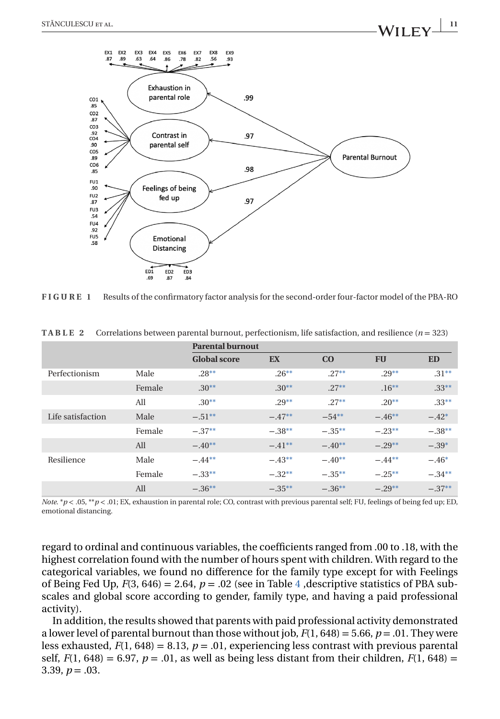<span id="page-10-0"></span>

**FIGURE 1** Results of the confirmatory factor analysis for the second-order four-factor model of the PBA-RO

|                   |        | <b>Parental burnout</b> |           |          |           |           |
|-------------------|--------|-------------------------|-----------|----------|-----------|-----------|
|                   |        | <b>Global score</b>     | <b>EX</b> | $\bf CO$ | <b>FU</b> | <b>ED</b> |
| Perfectionism     | Male   | $.28**$                 | $.26**$   | $.27**$  | $.29**$   | $.31***$  |
|                   | Female | $.30**$                 | $.30**$   | $.27**$  | $.16***$  | $.33***$  |
|                   | All    | $.30**$                 | $.29**$   | $.27**$  | $.20**$   | $.33***$  |
| Life satisfaction | Male   | $-.51**$                | $-.47**$  | $-54**$  | $-.46**$  | $-.42*$   |
|                   | Female | $-.37**$                | $-.38**$  | $-.35**$ | $-.23**$  | $-.38**$  |
|                   | All    | $-.40**$                | $-.41**$  | $-.40**$ | $-.29**$  | $-.39*$   |
| Resilience        | Male   | $-.44**$                | $-.43**$  | $-.40**$ | $-.44**$  | $-.46*$   |
|                   | Female | $-.33**$                | $-.32**$  | $-.35**$ | $-.25**$  | $-.34**$  |
|                   | All    | $-.36**$                | $-.35**$  | $-.36**$ | $-.29**$  | $-.37**$  |

**TABLE 2** Correlations between parental burnout, perfectionism, life satisfaction, and resilience (*n* = 323)

*Note*. \**p* < .05, \*\**p* < .01; EX, exhaustion in parental role; CO, contrast with previous parental self; FU, feelings of being fed up; ED, emotional distancing.

regard to ordinal and continuous variables, the coefficients ranged from .00 to .18, with the highest correlation found with the number of hours spent with children. With regard to the categorical variables, we found no difference for the family type except for with Feelings of Being Fed Up,  $F(3, 646) = 2.64$  $F(3, 646) = 2.64$  $F(3, 646) = 2.64$ ,  $p = .02$  (see in Table 4, descriptive statistics of PBA subscales and global score according to gender, family type, and having a paid professional activity).

In addition, the results showed that parents with paid professional activity demonstrated a lower level of parental burnout than those without job,  $F(1, 648) = 5.66$ ,  $p = .01$ . They were less exhausted,  $F(1, 648) = 8.13$ ,  $p = .01$ , experiencing less contrast with previous parental self,  $F(1, 648) = 6.97$ ,  $p = .01$ , as well as being less distant from their children,  $F(1, 648) =$ 3.39,  $p = .03$ .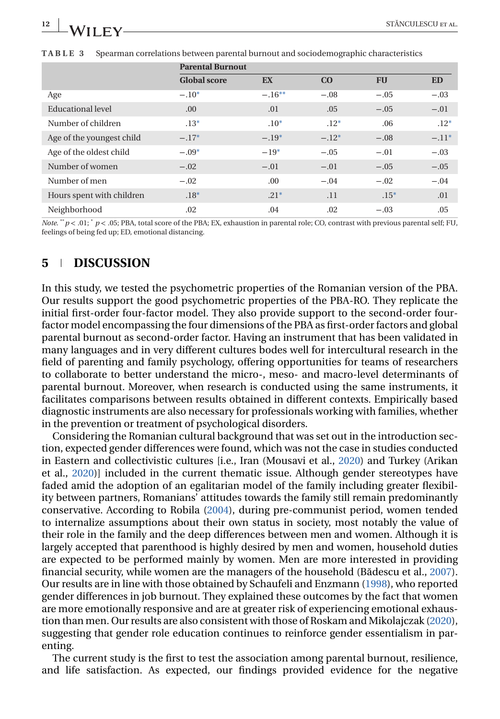|                           | <b>Parental Burnout</b> |           |                |           |           |
|---------------------------|-------------------------|-----------|----------------|-----------|-----------|
|                           | <b>Global score</b>     | <b>EX</b> | C <sub>O</sub> | <b>FU</b> | <b>ED</b> |
| Age                       | $-.10*$                 | $-.16**$  | $-.08$         | $-.05$    | $-.03$    |
| Educational level         | .00                     | .01       | .05            | $-.05$    | $-.01$    |
| Number of children        | $.13*$                  | $.10*$    | $.12*$         | .06       | $.12*$    |
| Age of the youngest child | $-.17*$                 | $-.19*$   | $-.12*$        | $-.08$    | $-.11*$   |
| Age of the oldest child   | $-.09*$                 | $-19*$    | $-.05$         | $-.01$    | $-.03$    |
| Number of women           | $-.02$                  | $-.01$    | $-.01$         | $-.05$    | $-.05$    |
| Number of men             | $-.02$                  | .00       | $-.04$         | $-.02$    | $-.04$    |
| Hours spent with children | $.18*$                  | $.21*$    | .11            | $.15*$    | .01       |
| Neighborhood              | .02                     | .04       | .02            | $-.03$    | .05       |

<span id="page-11-0"></span>**TABLE 3** Spearman correlations between parental burnout and sociodemographic characteristics

*Note.*  $*$   $p$  < .01;  $*$   $p$  < .05; PBA, total score of the PBA; EX, exhaustion in parental role; CO, contrast with previous parental self; FU, feelings of being fed up; ED, emotional distancing.

#### **5 DISCUSSION**

In this study, we tested the psychometric properties of the Romanian version of the PBA. Our results support the good psychometric properties of the PBA-RO. They replicate the initial first-order four-factor model. They also provide support to the second-order fourfactor model encompassing the four dimensions of the PBA as first-order factors and global parental burnout as second-order factor. Having an instrument that has been validated in many languages and in very different cultures bodes well for intercultural research in the field of parenting and family psychology, offering opportunities for teams of researchers to collaborate to better understand the micro-, meso- and macro-level determinants of parental burnout. Moreover, when research is conducted using the same instruments, it facilitates comparisons between results obtained in different contexts. Empirically based diagnostic instruments are also necessary for professionals working with families, whether in the prevention or treatment of psychological disorders.

Considering the Romanian cultural background that was set out in the introduction section, expected gender differences were found, which was not the case in studies conducted in Eastern and collectivistic cultures [i.e., Iran (Mousavi et al., [2020\)](#page-16-0) and Turkey (Arikan et al., [2020\)](#page-14-0)] included in the current thematic issue. Although gender stereotypes have faded amid the adoption of an egalitarian model of the family including greater flexibility between partners, Romanians' attitudes towards the family still remain predominantly conservative. According to Robila [\(2004\)](#page-16-0), during pre-communist period, women tended to internalize assumptions about their own status in society, most notably the value of their role in the family and the deep differences between men and women. Although it is largely accepted that parenthood is highly desired by men and women, household duties are expected to be performed mainly by women. Men are more interested in providing financial security, while women are the managers of the household (Bădescu et al., [2007\)](#page-14-0). Our results are in line with those obtained by Schaufeli and Enzmann [\(1998\)](#page-17-0), who reported gender differences in job burnout. They explained these outcomes by the fact that women are more emotionally responsive and are at greater risk of experiencing emotional exhaustion than men. Our results are also consistent with those of Roskam and Mikolajczak [\(2020\)](#page-17-0), suggesting that gender role education continues to reinforce gender essentialism in parenting.

The current study is the first to test the association among parental burnout, resilience, and life satisfaction. As expected, our findings provided evidence for the negative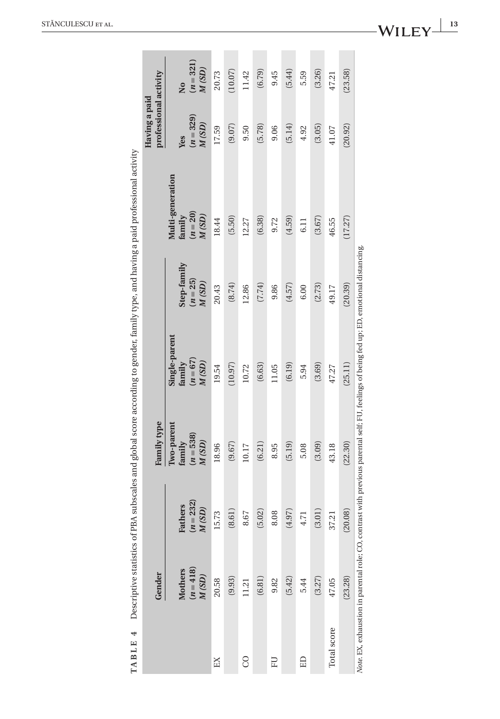<span id="page-12-0"></span>

|             | Gender                                 |                                 | Family type                                  |                                                                                                                                          |                                    |                                                   | professional activity<br>Having a paid |                           |
|-------------|----------------------------------------|---------------------------------|----------------------------------------------|------------------------------------------------------------------------------------------------------------------------------------------|------------------------------------|---------------------------------------------------|----------------------------------------|---------------------------|
|             | $(n = 418)$<br><b>Mothers</b><br>M(SD) | $(n = 232)$<br>Fathers<br>M(SD) | Iwo-parent<br>$(n = 538)$<br>family<br>M(SD) | Single-parent<br>$(n = 67)$<br>family<br>M(SD)                                                                                           | Step-family<br>$(n = 25)$<br>M(SD) | Multi-generation<br>$(n = 20)$<br>family<br>M(SD) | $(n = 329)$<br>M(SD)<br>Yes            | $(n = 321)$<br>M(SD)<br>2 |
| EX          | 20.58                                  | 15.73                           | 18.96                                        | 19.54                                                                                                                                    | 20.43                              | 18.44                                             | 17.59                                  | 20.73                     |
|             | (9.93)                                 | (8.61)                          | (9.67)                                       | (10.97)                                                                                                                                  | (8.74)                             | (5.50)                                            | (9.07)                                 | (10.07)                   |
| 8           | 11.21                                  | 8.67                            | 10.17                                        | 10.72                                                                                                                                    | 12.86                              | 12.27                                             | 9.50                                   | 11.42                     |
|             | (6.81)                                 | (5.02)                          | (6.21)                                       | (6.63)                                                                                                                                   | (7.74)                             | (6.38)                                            | (5.78)                                 | (6.79)                    |
| FU          | 9.82                                   | 8.08                            | 8.95                                         | 11.05                                                                                                                                    | 9.86                               | 9.72                                              | 9.06                                   | 9.45                      |
|             | (5.42)                                 | (4.97)                          | (5.19)                                       | (6.19)                                                                                                                                   | (4.57)                             | (4.59)                                            | (5.14)                                 | (5.44)                    |
| ED          | 5.44                                   | 4.71                            | 5.08                                         | 5.94                                                                                                                                     | 6.00                               | 6.11                                              | 4.92                                   | 5.59                      |
|             | (3.27)                                 | (3.01)                          | (3.09)                                       | (3.69)                                                                                                                                   | (2.73)                             | (3.67)                                            | (3.05)                                 | (3.26)                    |
| Total score | 47.05                                  | 37.21                           | 43.18                                        | 47.27                                                                                                                                    | 49.17                              | 46.55                                             | 41.07                                  | 47.21                     |
|             | (23.28)                                | (20.08)                         | (22.30)                                      | (25.11)                                                                                                                                  | (20.39)                            | (17.27)                                           | (20.92)                                | (23.58)                   |
|             |                                        |                                 |                                              | Note. EX, exhaustion in parental role; CO, contrast with previous parental self; FU, feelings of being fed up; ED, emotional distancing. |                                    |                                                   |                                        |                           |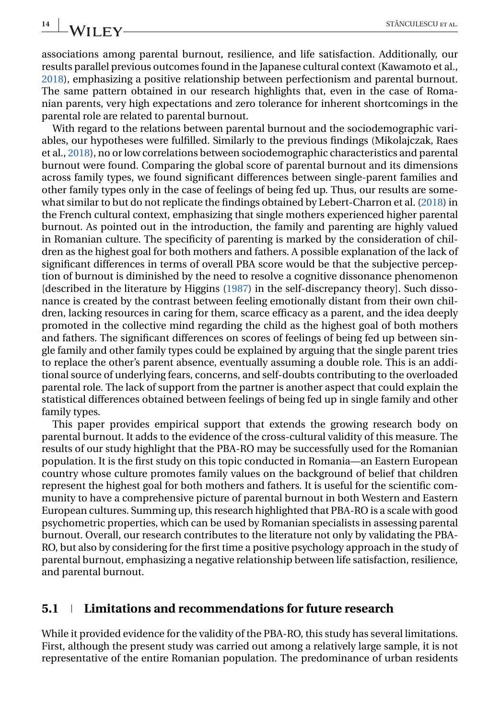associations among parental burnout, resilience, and life satisfaction. Additionally, our results parallel previous outcomes found in the Japanese cultural context (Kawamoto et al., [2018\)](#page-15-0), emphasizing a positive relationship between perfectionism and parental burnout. The same pattern obtained in our research highlights that, even in the case of Romanian parents, very high expectations and zero tolerance for inherent shortcomings in the parental role are related to parental burnout.

With regard to the relations between parental burnout and the sociodemographic variables, our hypotheses were fulfilled. Similarly to the previous findings (Mikolajczak, Raes et al., [2018\)](#page-16-0), no or low correlations between sociodemographic characteristics and parental burnout were found. Comparing the global score of parental burnout and its dimensions across family types, we found significant differences between single-parent families and other family types only in the case of feelings of being fed up. Thus, our results are somewhat similar to but do not replicate the findings obtained by Lebert-Charron et al. [\(2018\)](#page-16-0) in the French cultural context, emphasizing that single mothers experienced higher parental burnout. As pointed out in the introduction, the family and parenting are highly valued in Romanian culture. The specificity of parenting is marked by the consideration of children as the highest goal for both mothers and fathers. A possible explanation of the lack of significant differences in terms of overall PBA score would be that the subjective perception of burnout is diminished by the need to resolve a cognitive dissonance phenomenon [described in the literature by Higgins [\(1987\)](#page-15-0) in the self-discrepancy theory]. Such dissonance is created by the contrast between feeling emotionally distant from their own children, lacking resources in caring for them, scarce efficacy as a parent, and the idea deeply promoted in the collective mind regarding the child as the highest goal of both mothers and fathers. The significant differences on scores of feelings of being fed up between single family and other family types could be explained by arguing that the single parent tries to replace the other's parent absence, eventually assuming a double role. This is an additional source of underlying fears, concerns, and self-doubts contributing to the overloaded parental role. The lack of support from the partner is another aspect that could explain the statistical differences obtained between feelings of being fed up in single family and other family types.

This paper provides empirical support that extends the growing research body on parental burnout. It adds to the evidence of the cross-cultural validity of this measure. The results of our study highlight that the PBA-RO may be successfully used for the Romanian population. It is the first study on this topic conducted in Romania—an Eastern European country whose culture promotes family values on the background of belief that children represent the highest goal for both mothers and fathers. It is useful for the scientific community to have a comprehensive picture of parental burnout in both Western and Eastern European cultures. Summing up, this research highlighted that PBA-RO is a scale with good psychometric properties, which can be used by Romanian specialists in assessing parental burnout. Overall, our research contributes to the literature not only by validating the PBA-RO, but also by considering for the first time a positive psychology approach in the study of parental burnout, emphasizing a negative relationship between life satisfaction, resilience, and parental burnout.

#### **5.1 Limitations and recommendations for future research**

While it provided evidence for the validity of the PBA-RO, this study has several limitations. First, although the present study was carried out among a relatively large sample, it is not representative of the entire Romanian population. The predominance of urban residents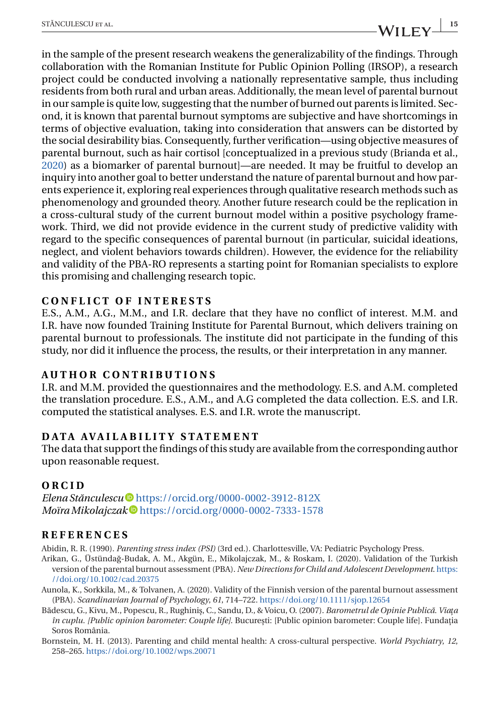<span id="page-14-0"></span>in the sample of the present research weakens the generalizability of the findings. Through collaboration with the Romanian Institute for Public Opinion Polling (IRSOP), a research project could be conducted involving a nationally representative sample, thus including residents from both rural and urban areas. Additionally, the mean level of parental burnout in our sample is quite low, suggesting that the number of burned out parents is limited. Second, it is known that parental burnout symptoms are subjective and have shortcomings in terms of objective evaluation, taking into consideration that answers can be distorted by the social desirability bias. Consequently, further verification—using objective measures of parental burnout, such as hair cortisol [conceptualized in a previous study (Brianda et al., [2020\)](#page-15-0) as a biomarker of parental burnout]—are needed. It may be fruitful to develop an inquiry into another goal to better understand the nature of parental burnout and how parents experience it, exploring real experiences through qualitative research methods such as phenomenology and grounded theory. Another future research could be the replication in a cross-cultural study of the current burnout model within a positive psychology framework. Third, we did not provide evidence in the current study of predictive validity with regard to the specific consequences of parental burnout (in particular, suicidal ideations, neglect, and violent behaviors towards children). However, the evidence for the reliability and validity of the PBA-RO represents a starting point for Romanian specialists to explore this promising and challenging research topic.

#### **CONFLICT OF INTERESTS**

E.S., A.M., A.G., M.M., and I.R. declare that they have no conflict of interest. M.M. and I.R. have now founded Training Institute for Parental Burnout, which delivers training on parental burnout to professionals. The institute did not participate in the funding of this study, nor did it influence the process, the results, or their interpretation in any manner.

#### **AUTHOR CONTRIBUTIONS**

I.R. and M.M. provided the questionnaires and the methodology. E.S. and A.M. completed the translation procedure. E.S., A.M., and A.G completed the data collection. E.S. and I.R. computed the statistical analyses. E.S. and I.R. wrote the manuscript.

#### **DATA AVAILABILITY STATEMENT**

The data that support the findings of this study are available from the corresponding author upon reasonable request.

#### **ORCID**

*Elena Stanculescu ˘* <https://orcid.org/0000-0002-3912-812X> *Moïra Mikolajczak* <https://orcid.org/0000-0002-7333-1578>

#### **REFERENCES**

Abidin, R. R. (1990). *Parenting stress index (PSI)* (3rd ed.). Charlottesville, VA: Pediatric Psychology Press.

- Arikan, G., Üstündag-Budak, A. M., Akgün, E., Mikolajczak, M., & Roskam, I. (2020). Validation of the Turkish ˘ version of the parental burnout assessment (PBA). *New Directions for Child and Adolescent Development*. [https:](https://doi.org/10.1002/cad.20375) [//doi.org/10.1002/cad.20375](https://doi.org/10.1002/cad.20375)
- Aunola, K., Sorkkila, M., & Tolvanen, A. (2020). Validity of the Finnish version of the parental burnout assessment (PBA). *Scandinavian Journal of Psychology*, *61*, 714–722. <https://doi.org/10.1111/sjop.12654>
- Bădescu, G., Kivu, M., Popescu, R., Rughiniș, C., Sandu, D., & Voicu, O. (2007). *Barometrul de Opinie Publică. Viața în cuplu. [Public opinion barometer: Couple life]*. București: [Public opinion barometer: Couple life]. Fundația Soros România.
- Bornstein, M. H. (2013). Parenting and child mental health: A cross-cultural perspective. *World Psychiatry*, *12*, 258–265. <https://doi.org/10.1002/wps.20071>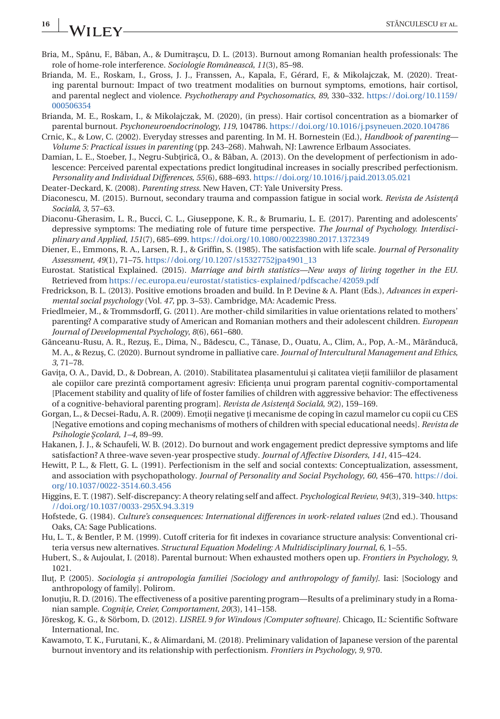## **16 WII FV** STÀNCULESCU ET AL.

- Bria, M., Spânu, F., Băban, A., & Dumitrascu, D. L. (2013). Burnout among Romanian health professionals: The role of home-role interference. *Sociologie Româneasca˘*, *11*(3), 85–98.
- Brianda, M. E., Roskam, I., Gross, J. J., Franssen, A., Kapala, F., Gérard, F., & Mikolajczak, M. (2020). Treating parental burnout: Impact of two treatment modalities on burnout symptoms, emotions, hair cortisol, and parental neglect and violence. *Psychotherapy and Psychosomatics*, *89*, 330–332. [https://doi.org/10.1159/](https://doi.org/10.1159/000506354) [000506354](https://doi.org/10.1159/000506354)
- Brianda, M. E., Roskam, I., & Mikolajczak, M. (2020), (in press). Hair cortisol concentration as a biomarker of parental burnout. *Psychoneuroendocrinology*, *119*, 104786. <https://doi.org/10.1016/j.psyneuen.2020.104786>
- Crnic, K., & Low, C. (2002). Everyday stresses and parenting. In M. H. Bornestein (Ed.), *Handbook of parenting— Volume 5: Practical issues in parenting* (pp. 243–268). Mahwah, NJ: Lawrence Erlbaum Associates.
- Damian, L. E., Stoeber, J., Negru-Subțirică, O., & Băban, A. (2013). On the development of perfectionism in adolescence: Perceived parental expectations predict longitudinal increases in socially prescribed perfectionism. *Personality and Individual Differences*, *55*(6), 688–693. <https://doi.org/10.1016/j.paid.2013.05.021>
- Deater-Deckard, K. (2008). *Parenting stress*. New Haven, CT: Yale University Press.
- Diaconescu, M. (2015). Burnout, secondary trauma and compassion fatigue in social work. *Revista de Asistența˘ Sociala˘*, *3*, 57–63.
- Diaconu-Gherasim, L. R., Bucci, C. L., Giuseppone, K. R., & Brumariu, L. E. (2017). Parenting and adolescents' depressive symptoms: The mediating role of future time perspective. *The Journal of Psychology. Interdisciplinary and Applied*, *151*(7), 685–699. <https://doi.org/10.1080/00223980.2017.1372349>
- Diener, E., Emmons, R. A., Larsen, R. J., & Griffin, S. (1985). The satisfaction with life scale. *Journal of Personality Assessment*, *49*(1), 71–75. [https://doi.org/10.1207/s15327752jpa4901\\_13](https://doi.org/10.1207/s15327752jpa4901_13)
- Eurostat. Statistical Explained. (2015). *Marriage and birth statistics—New ways of living together in the EU*. Retrieved from <https://ec.europa.eu/eurostat/statistics-explained/pdfscache/42059.pdf>
- Fredrickson, B. L. (2013). Positive emotions broaden and build. In P. Devine & A. Plant (Eds.), *Advances in experimental social psychology* (Vol. *47*, pp. 3–53). Cambridge, MA: Academic Press.
- Friedlmeier, M., & Trommsdorff, G. (2011). Are mother-child similarities in value orientations related to mothers' parenting? A comparative study of American and Romanian mothers and their adolescent children. *European Journal of Developmental Psychology*, *8*(6), 661–680.
- Gănceanu-Rusu, A. R., Rezus, E., Dima, N., Bădescu, C., Tănase, D., Ouatu, A., Clim, A., Pop, A.-M., Mărănducă, M. A., & Rezuș, C. (2020). Burnout syndrome in palliative care. *Journal of Intercultural Management and Ethics*, *3*, 71–78.
- Gavița, O. A., David, D., & Dobrean, A. (2010). Stabilitatea plasamentului și calitatea vieții familiilor de plasament ale copiilor care prezintă comportament agresiv: Eficienta unui program parental cognitiv-comportamental [Placement stability and quality of life of foster families of children with aggressive behavior: The effectiveness of a cognitive-behavioral parenting program]. *Revista de Asistența Social ˘ a˘*, *9*(2), 159–169.
- Gorgan, L., & Decsei-Radu, A. R. (2009). Emoții negative ți mecanisme de coping în cazul mamelor cu copii cu CES [Negative emotions and coping mechanisms of mothers of children with special educational needs]. *Revista de Psihologie Școlara˘*, *1–4*, 89–99.
- Hakanen, J. J., & Schaufeli, W. B. (2012). Do burnout and work engagement predict depressive symptoms and life satisfaction? A three-wave seven-year prospective study. *Journal of Affective Disorders*, *141*, 415–424.
- Hewitt, P. L., & Flett, G. L. (1991). Perfectionism in the self and social contexts: Conceptualization, assessment, and association with psychopathology. *Journal of Personality and Social Psychology*, *60*, 456–470. [https://doi.](https://doi.org/10.1037/0022-3514.60.3.456) [org/10.1037/0022-3514.60.3.456](https://doi.org/10.1037/0022-3514.60.3.456)
- Higgins, E. T. (1987). Self-discrepancy: A theory relating self and affect. *Psychological Review*, *94*(3), 319–340. [https:](https://doi.org/10.1037/0033-295X.94.3.319) [//doi.org/10.1037/0033-295X.94.3.319](https://doi.org/10.1037/0033-295X.94.3.319)
- Hofstede, G. (1984). *Culture's consequences: International differences in work-related values* (2nd ed.). Thousand Oaks, CA: Sage Publications.
- Hu, L. T., & Bentler, P. M. (1999). Cutoff criteria for fit indexes in covariance structure analysis: Conventional criteria versus new alternatives. *Structural Equation Modeling: A Multidisciplinary Journal*, *6*, 1–55.
- Hubert, S., & Aujoulat, I. (2018). Parental burnout: When exhausted mothers open up. *Frontiers in Psychology*, *9*, 1021.
- Iluț, P. (2005). *Sociologia și antropologia familiei [Sociology and anthropology of family]*. Iasi: [Sociology and anthropology of family]. Polirom.
- Ionuțiu, R. D. (2016). The effectiveness of a positive parenting program—Results of a preliminary study in a Romanian sample. *Cogniție, Creier, Comportament*, *20*(3), 141–158.
- Jöreskog, K. G., & Sörbom, D. (2012). *LISREL 9 for Windows [Computer software]*. Chicago, IL: Scientific Software International, Inc.
- Kawamoto, T. K., Furutani, K., & Alimardani, M. (2018). Preliminary validation of Japanese version of the parental burnout inventory and its relationship with perfectionism. *Frontiers in Psychology*, *9*, 970.

<span id="page-15-0"></span>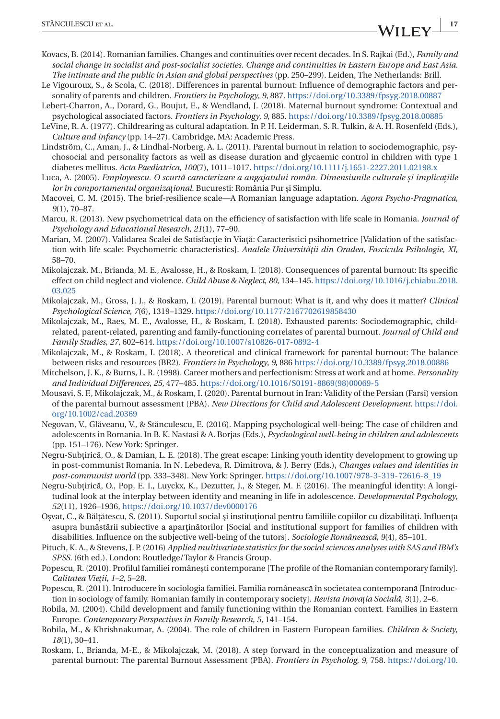- <span id="page-16-0"></span>Kovacs, B. (2014). Romanian families. Changes and continuities over recent decades. In S. Rajkai (Ed.), *Family and social change in socialist and post-socialist societies. Change and continuities in Eastern Europe and East Asia. The intimate and the public in Asian and global perspectives* (pp. 250–299). Leiden, The Netherlands: Brill.
- Le Vigouroux, S., & Scola, C. (2018). Differences in parental burnout: Influence of demographic factors and personality of parents and children. *Frontiers in Psychology*, *9*, 887. <https://doi.org/10.3389/fpsyg.2018.00887>
- Lebert-Charron, A., Dorard, G., Boujut, E., & Wendland, J. (2018). Maternal burnout syndrome: Contextual and psychological associated factors. *Frontiers in Psychology*, *9*, 885. <https://doi.org/10.3389/fpsyg.2018.00885>
- LeVine, R. A. (1977). Childrearing as cultural adaptation. In P. H. Leiderman, S. R. Tulkin, & A. H. Rosenfeld (Eds.), *Culture and infancy* (pp. 14–27). Cambridge, MA: Academic Press.
- Lindström, C., Aman, J., & Lindhal-Norberg, A. L. (2011). Parental burnout in relation to sociodemographic, psychosocial and personality factors as well as disease duration and glycaemic control in children with type 1 diabetes mellitus. *Acta Paediatrica*, *100*(7), 1011–1017. <https://doi.org/10.1111/j.1651-2227.2011.02198.x>
- Luca, A. (2005). *Employeescu. O scurta caracterizare a angajatului român. Dimensiunile culturale ˘ și implicațiile lor în comportamentul organizațional*. Bucuresti: România Pur și Simplu.
- Macovei, C. M. (2015). The brief-resilience scale—A Romanian language adaptation. *Agora Psycho-Pragmatica*, *9*(1), 70–87.
- Marcu, R. (2013). New psychometrical data on the efficiency of satisfaction with life scale in Romania. *Journal of Psychology and Educational Research*, *21*(1), 77–90.
- Marian, M. (2007). Validarea Scalei de Satisfactie în Viață: Caracteristici psihometrice [Validation of the satisfaction with life scale: Psychometric characteristics]. *Analele Universității din Oradea, Fascicula Psihologie, XI*, 58–70.
- Mikolajczak, M., Brianda, M. E., Avalosse, H., & Roskam, I. (2018). Consequences of parental burnout: Its specific effect on child neglect and violence. *Child Abuse & Neglect*, *80*, 134–145. [https://doi.org/10.1016/j.chiabu.2018.](https://doi.org/10.1016/j.chiabu.2018.03.025) [03.025](https://doi.org/10.1016/j.chiabu.2018.03.025)
- Mikolajczak, M., Gross, J. J., & Roskam, I. (2019). Parental burnout: What is it, and why does it matter? *Clinical Psychological Science*, *7*(6), 1319–1329. <https://doi.org/10.1177/2167702619858430>
- Mikolajczak, M., Raes, M. E., Avalosse, H., & Roskam, I. (2018). Exhausted parents: Sociodemographic, childrelated, parent-related, parenting and family-functioning correlates of parental burnout. *Journal of Child and Family Studies*, *27*, 602–614. <https://doi.org/10.1007/s10826-017-0892-4>
- Mikolajczak, M., & Roskam, I. (2018). A theoretical and clinical framework for parental burnout: The balance between risks and resources (BR2). *Frontiers in Psychology*, *9*, 886 <https://doi.org/10.3389/fpsyg.2018.00886>
- Mitchelson, J. K., & Burns, L. R. (1998). Career mothers and perfectionism: Stress at work and at home. *Personality and Individual Differences*, *25*, 477–485. [https://doi.org/10.1016/S0191-8869\(98\)00069-5](https://doi.org/10.1016/S0191-8869(98)00069-5)
- Mousavi, S. F., Mikolajczak, M., & Roskam, I. (2020). Parental burnout in Iran: Validity of the Persian (Farsi) version of the parental burnout assessment (PBA). *New Directions for Child and Adolescent Development*. [https://doi.](https://doi.org/10.1002/cad.20369) [org/10.1002/cad.20369](https://doi.org/10.1002/cad.20369)
- Negovan, V., Glăveanu, V., & Stănculescu, E. (2016). Mapping psychological well-being: The case of children and adolescents in Romania. In B. K. Nastasi & A. Borjas (Eds.), *Psychological well-being in children and adolescents* (pp. 151–176). New York: Springer.
- Negru-Subțirica, O., & Damian, L. E. (2018). The great escape: Linking youth identity development to growing up ˘ in post-communist Romania. In N. Lebedeva, R. Dimitrova, & J. Berry (Eds.), *Changes values and identities in post-communist world* (pp. 333–348). New York: Springer. [https://doi.org/10.1007/978-3-319-72616-8\\_19](https://doi.org/10.1007/978-3-319-72616-8_19)
- Negru-Subțirica, O., Pop, E. I., Luyckx, K., Dezutter, J., & Steger, M. F. (2016). The meaningful identity: A longi- ˘ tudinal look at the interplay between identity and meaning in life in adolescence. *Developmental Psychology*, *52*(11), 1926–1936, <https://doi.org/10.1037/dev0000176>
- Oșvat, C., & Bălțătescu, S. (2011). Suportul social și instituțional pentru familiile copiilor cu dizabilități. Influența asupra bunăstării subiective a aparținătorilor [Social and institutional support for families of children with disabilities. Influence on the subjective well-being of the tutors]. *Sociologie Românească*, 9(4), 85–101.
- Pituch, K. A., & Stevens, J. P. (2016) *Applied multivariate statistics for the social sciences analyses with SAS and IBM's SPSS*. (6th ed.). London: Routledge/Taylor & Francis Group.
- Popescu, R. (2010). Profilul familiei românești contemporane [The profile of the Romanian contemporary family]. *Calitatea Vieții*, *1–2*, 5–28.
- Popescu, R. (2011). Introducere în sociologia familiei. Familia românească în societatea contemporană [Introduction in sociology of family. Romanian family in contemporary society]. *Revista Inovația Sociala˘*, *3*(1), 2–6.
- Robila, M. (2004). Child development and family functioning within the Romanian context. Families in Eastern Europe. *Contemporary Perspectives in Family Research*, *5*, 141–154.
- Robila, M., & Khrishnakumar, A. (2004). The role of children in Eastern European families. *Children & Society*, *18*(1), 30–41.
- Roskam, I., Brianda, M-E., & Mikolajczak, M. (2018). A step forward in the conceptualization and measure of parental burnout: The parental Burnout Assessment (PBA). *Frontiers in Psycholog*, *9*, 758. https://doi.org/10.